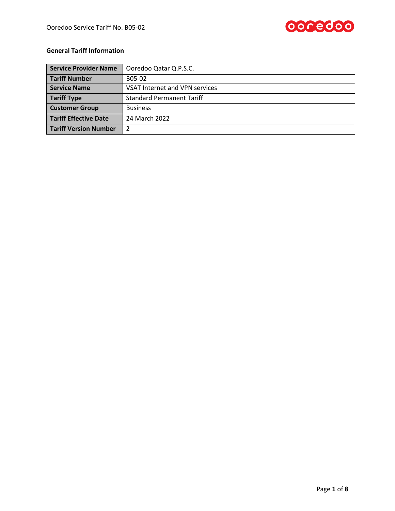

# **General Tariff Information**

| <b>Service Provider Name</b> | Ooredoo Qatar Q.P.S.C.           |  |
|------------------------------|----------------------------------|--|
| <b>Tariff Number</b>         | B05-02                           |  |
| <b>Service Name</b>          | VSAT Internet and VPN services   |  |
| <b>Tariff Type</b>           | <b>Standard Permanent Tariff</b> |  |
| <b>Customer Group</b>        | <b>Business</b>                  |  |
| <b>Tariff Effective Date</b> | 24 March 2022                    |  |
| <b>Tariff Version Number</b> |                                  |  |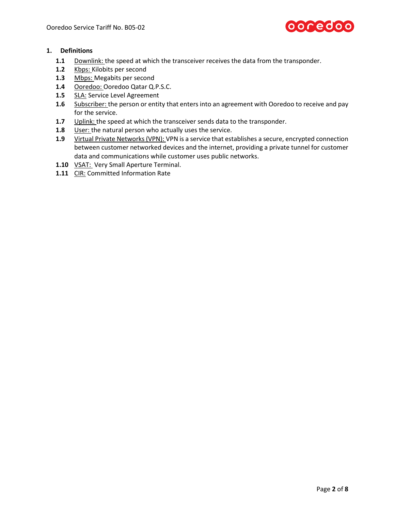

# **1. Definitions**

- **1.1** Downlink: the speed at which the transceiver receives the data from the transponder.
- **1.2** Kbps: Kilobits per second
- 1.3 Mbps: Megabits per second
- **1.4** Ooredoo: Ooredoo Qatar Q.P.S.C.
- **1.5** SLA: Service Level Agreement
- **1.6** Subscriber: the person or entity that enters into an agreement with Ooredoo to receive and pay for the service.
- **1.7** Uplink: the speed at which the transceiver sends data to the transponder.
- **1.8** User: the natural person who actually uses the service.
- **1.9** Virtual Private Networks (VPN): VPN is a service that establishes a secure, encrypted connection between customer networked devices and the internet, providing a private tunnel for customer data and communications while customer uses public networks.
- **1.10** VSAT: Very Small Aperture Terminal.
- 1.11 CIR: Committed Information Rate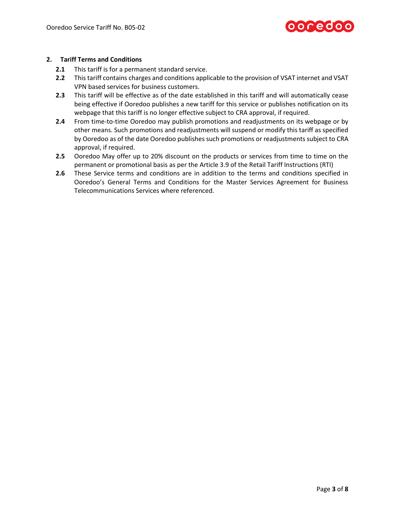

# **2. Tariff Terms and Conditions**

- **2.1** This tariff is for a permanent standard service.
- **2.2** This tariff contains charges and conditions applicable to the provision of VSAT internet and VSAT VPN based services for business customers.
- **2.3** This tariff will be effective as of the date established in this tariff and will automatically cease being effective if Ooredoo publishes a new tariff for this service or publishes notification on its webpage that this tariff is no longer effective subject to CRA approval, if required.
- **2.4** From time-to-time Ooredoo may publish promotions and readjustments on its webpage or by other means. Such promotions and readjustments will suspend or modify this tariff as specified by Ooredoo as of the date Ooredoo publishes such promotions or readjustments subject to CRA approval, if required.
- **2.5** Ooredoo May offer up to 20% discount on the products or services from time to time on the permanent or promotional basis as per the Article 3.9 of the Retail Tariff Instructions (RTI)
- **2.6** These Service terms and conditions are in addition to the terms and conditions specified in Ooredoo's General Terms and Conditions for the Master Services Agreement for Business Telecommunications Services where referenced.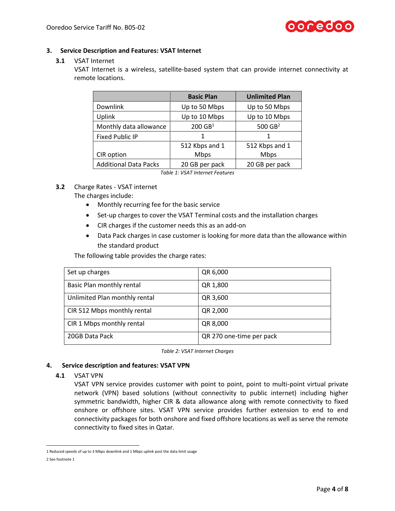

# **3. Service Description and Features: VSAT Internet**

#### **3.1** VSAT Internet

VSAT Internet is a wireless, satellite-based system that can provide internet connectivity at remote locations.

|                              | <b>Basic Plan</b>     | <b>Unlimited Plan</b> |
|------------------------------|-----------------------|-----------------------|
| Downlink                     | Up to 50 Mbps         | Up to 50 Mbps         |
| Uplink                       | Up to 10 Mbps         | Up to 10 Mbps         |
| Monthly data allowance       | $200$ GB <sup>1</sup> | 500 GB <sup>2</sup>   |
| <b>Fixed Public IP</b>       |                       |                       |
|                              | 512 Kbps and 1        | 512 Kbps and 1        |
| CIR option                   | <b>Mbps</b>           | <b>Mbps</b>           |
| <b>Additional Data Packs</b> | 20 GB per pack        | 20 GB per pack        |

*Table 1: VSAT Internet Features*

# **3.2** Charge Rates - VSAT internet

The charges include:

- Monthly recurring fee for the basic service
- Set-up charges to cover the VSAT Terminal costs and the installation charges
- CIR charges if the customer needs this as an add-on
- Data Pack charges in case customer is looking for more data than the allowance within the standard product

The following table provides the charge rates:

| Set up charges                | QR 6,000                 |
|-------------------------------|--------------------------|
| Basic Plan monthly rental     | QR 1,800                 |
| Unlimited Plan monthly rental | QR 3,600                 |
| CIR 512 Mbps monthly rental   | QR 2,000                 |
| CIR 1 Mbps monthly rental     | QR 8,000                 |
| 20GB Data Pack                | QR 270 one-time per pack |

*Table 2: VSAT Internet Charges*

#### **4. Service description and features: VSAT VPN**

#### **4.1** VSAT VPN

VSAT VPN service provides customer with point to point, point to multi-point virtual private network (VPN) based solutions (without connectivity to public internet) including higher symmetric bandwidth, higher CIR & data allowance along with remote connectivity to fixed onshore or offshore sites. VSAT VPN service provides further extension to end to end connectivity packages for both onshore and fixed offshore locations as well as serve the remote connectivity to fixed sites in Qatar.

l

<sup>1</sup> Reduced speeds of up to 3 Mbps downlink and 1 Mbps uplink post the data limit usage

<sup>2</sup> See footnote 1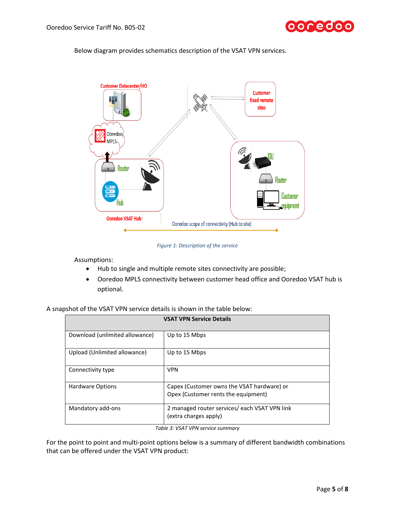

Below diagram provides schematics description of the VSAT VPN services.



*Figure 1: Description of the service*

Assumptions:

- Hub to single and multiple remote sites connectivity are possible;
- Ooredoo MPLS connectivity between customer head office and Ooredoo VSAT hub is optional.

| A snapshot of the VSAT VPN service details is shown in the table below: |
|-------------------------------------------------------------------------|
|-------------------------------------------------------------------------|

| <b>VSAT VPN Service Details</b> |                                                                                   |  |
|---------------------------------|-----------------------------------------------------------------------------------|--|
| Download (unlimited allowance)  | Up to 15 Mbps                                                                     |  |
| Upload (Unlimited allowance)    | Up to 15 Mbps                                                                     |  |
| Connectivity type               | <b>VPN</b>                                                                        |  |
| <b>Hardware Options</b>         | Capex (Customer owns the VSAT hardware) or<br>Opex (Customer rents the equipment) |  |
| Mandatory add-ons               | 2 managed router services/ each VSAT VPN link<br>(extra charges apply)            |  |

*Table 3: VSAT VPN service summary*

For the point to point and multi-point options below is a summary of different bandwidth combinations that can be offered under the VSAT VPN product: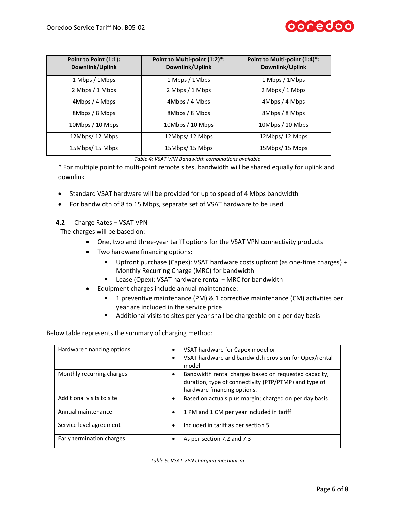

| Point to Point (1:1):<br>Downlink/Uplink | Point to Multi-point (1:2)*:<br>Downlink/Uplink | Point to Multi-point (1:4)*:<br>Downlink/Uplink |
|------------------------------------------|-------------------------------------------------|-------------------------------------------------|
| 1 Mbps / 1 Mbps                          | 1 Mbps / 1 Mbps                                 | 1 Mbps / 1 Mbps                                 |
| 2 Mbps / 1 Mbps                          | 2 Mbps / 1 Mbps                                 | 2 Mbps / 1 Mbps                                 |
| 4Mbps / 4 Mbps                           | 4Mbps / 4 Mbps                                  | 4Mbps / 4 Mbps                                  |
| 8Mbps / 8 Mbps                           | 8Mbps / 8 Mbps                                  | 8Mbps / 8 Mbps                                  |
| 10Mbps / 10 Mbps                         | 10Mbps / 10 Mbps                                | 10Mbps / 10 Mbps                                |
| 12Mbps/12 Mbps                           | 12Mbps/12 Mbps                                  | 12Mbps/12 Mbps                                  |
| 15Mbps/15 Mbps                           | 15Mbps/15 Mbps                                  | 15Mbps/15 Mbps                                  |

*Table 4: VSAT VPN Bandwidth combinations available*

\* For multiple point to multi-point remote sites, bandwidth will be shared equally for uplink and downlink

- Standard VSAT hardware will be provided for up to speed of 4 Mbps bandwidth
- For bandwidth of 8 to 15 Mbps, separate set of VSAT hardware to be used
- **4.2** Charge Rates VSAT VPN

The charges will be based on:

- One, two and three-year tariff options for the VSAT VPN connectivity products
- Two hardware financing options:
	- Upfront purchase (Capex): VSAT hardware costs upfront (as one-time charges) + Monthly Recurring Charge (MRC) for bandwidth
	- Lease (Opex): VSAT hardware rental + MRC for bandwidth
- Equipment charges include annual maintenance:
	- 1 preventive maintenance (PM) & 1 corrective maintenance (CM) activities per year are included in the service price
	- Additional visits to sites per year shall be chargeable on a per day basis

Below table represents the summary of charging method:

| Hardware financing options | VSAT hardware for Capex model or<br>$\bullet$<br>VSAT hardware and bandwidth provision for Opex/rental<br>$\bullet$<br>model                               |
|----------------------------|------------------------------------------------------------------------------------------------------------------------------------------------------------|
| Monthly recurring charges  | Bandwidth rental charges based on requested capacity,<br>$\bullet$<br>duration, type of connectivity (PTP/PTMP) and type of<br>hardware financing options. |
| Additional visits to site  | Based on actuals plus margin; charged on per day basis<br>$\bullet$                                                                                        |
| Annual maintenance         | 1 PM and 1 CM per year included in tariff<br>$\bullet$                                                                                                     |
| Service level agreement    | Included in tariff as per section 5<br>$\bullet$                                                                                                           |
| Early termination charges  | As per section 7.2 and 7.3                                                                                                                                 |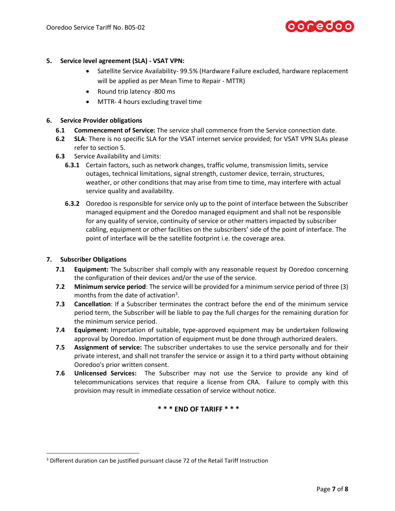

# **5. Service level agreement (SLA) - VSAT VPN:**

- Satellite Service Availability- 99.5% (Hardware Failure excluded, hardware replacement will be applied as per Mean Time to Repair - MTTR)
- Round trip latency -800 ms
- MTTR- 4 hours excluding travel time

#### **6. Service Provider obligations**

- **6.1 Commencement of Service:** The service shall commence from the Service connection date.
- **6.2 SLA**: There is no specific SLA for the VSAT internet service provided; for VSAT VPN SLAs please refer to section 5.
- **6.3** Service Availability and Limits:
	- **6.3.1** Certain factors, such as network changes, traffic volume, transmission limits, service outages, technical limitations, signal strength, customer device, terrain, structures, weather, or other conditions that may arise from time to time, may interfere with actual service quality and availability.
	- **6.3.2** Ooredoo is responsible for service only up to the point of interface between the Subscriber managed equipment and the Ooredoo managed equipment and shall not be responsible for any quality of service, continuity of service or other matters impacted by subscriber cabling, equipment or other facilities on the subscribers' side of the point of interface. The point of interface will be the satellite footprint i.e. the coverage area.

#### **7. Subscriber Obligations**

 $\overline{\phantom{a}}$ 

- **7.1 Equipment:** The Subscriber shall comply with any reasonable request by Ooredoo concerning the configuration of their devices and/or the use of the service.
- **7.2 Minimum service period**: The service will be provided for a minimum service period of three (3) months from the date of activation<sup>3</sup>.
- **7.3 Cancellation**: If a Subscriber terminates the contract before the end of the minimum service period term, the Subscriber will be liable to pay the full charges for the remaining duration for the minimum service period.
- **7.4 Equipment:** Importation of suitable, type-approved equipment may be undertaken following approval by Ooredoo. Importation of equipment must be done through authorized dealers.
- **7.5 Assignment of service:** The subscriber undertakes to use the service personally and for their private interest, and shall not transfer the service or assign it to a third party without obtaining Ooredoo's prior written consent.
- **7.6 Unlicensed Services:** The Subscriber may not use the Service to provide any kind of telecommunications services that require a license from CRA. Failure to comply with this provision may result in immediate cessation of service without notice.

**\* \* \* END OF TARIFF \* \* \***

<sup>&</sup>lt;sup>3</sup> Different duration can be justified pursuant clause 72 of the Retail Tariff Instruction